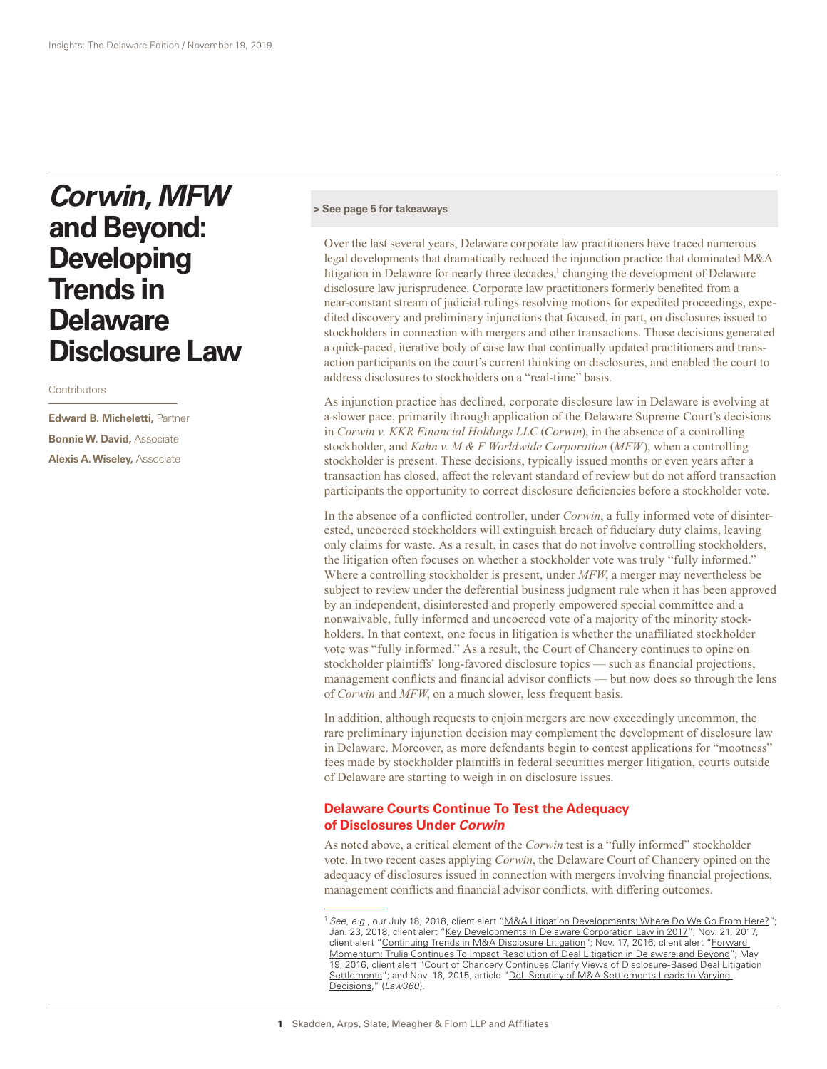# *Corwin***,** *MFW* **and Beyond: Developing Trends in Delaware Disclosure Law**

**Contributors** 

**Edward B. Micheletti,** Partner **Bonnie W. David,** Associate **Alexis A. Wiseley,** Associate

#### **[> See page 5 for takeaways](#page-4-0)**

Over the last several years, Delaware corporate law practitioners have traced numerous legal developments that dramatically reduced the injunction practice that dominated M&A litigation in Delaware for nearly three decades,<sup>1</sup> changing the development of Delaware disclosure law jurisprudence. Corporate law practitioners formerly benefited from a near-constant stream of judicial rulings resolving motions for expedited proceedings, expedited discovery and preliminary injunctions that focused, in part, on disclosures issued to stockholders in connection with mergers and other transactions. Those decisions generated a quick-paced, iterative body of case law that continually updated practitioners and transaction participants on the court's current thinking on disclosures, and enabled the court to address disclosures to stockholders on a "real-time" basis.

As injunction practice has declined, corporate disclosure law in Delaware is evolving at a slower pace, primarily through application of the Delaware Supreme Court's decisions in *Corwin v. KKR Financial Holdings LLC* (*Corwin*), in the absence of a controlling stockholder, and *Kahn v. M & F Worldwide Corporation* (*MFW*), when a controlling stockholder is present. These decisions, typically issued months or even years after a transaction has closed, affect the relevant standard of review but do not afford transaction participants the opportunity to correct disclosure deficiencies before a stockholder vote.

In the absence of a conflicted controller, under *Corwin*, a fully informed vote of disinterested, uncoerced stockholders will extinguish breach of fiduciary duty claims, leaving only claims for waste. As a result, in cases that do not involve controlling stockholders, the litigation often focuses on whether a stockholder vote was truly "fully informed." Where a controlling stockholder is present, under *MFW*, a merger may nevertheless be subject to review under the deferential business judgment rule when it has been approved by an independent, disinterested and properly empowered special committee and a nonwaivable, fully informed and uncoerced vote of a majority of the minority stockholders. In that context, one focus in litigation is whether the unaffiliated stockholder vote was "fully informed." As a result, the Court of Chancery continues to opine on stockholder plaintiffs' long-favored disclosure topics — such as financial projections, management conflicts and financial advisor conflicts — but now does so through the lens of *Corwin* and *MFW*, on a much slower, less frequent basis.

In addition, although requests to enjoin mergers are now exceedingly uncommon, the rare preliminary injunction decision may complement the development of disclosure law in Delaware. Moreover, as more defendants begin to contest applications for "mootness" fees made by stockholder plaintiffs in federal securities merger litigation, courts outside of Delaware are starting to weigh in on disclosure issues.

#### **Delaware Courts Continue To Test the Adequacy of Disclosures Under** *Corwin*

As noted above, a critical element of the *Corwin* test is a "fully informed" stockholder vote. In two recent cases applying *Corwin*, the Delaware Court of Chancery opined on the adequacy of disclosures issued in connection with mergers involving financial projections, management conflicts and financial advisor conflicts, with differing outcomes.

<sup>1</sup> *See*, *e.g*., our July 18, 2018, client alert "[M&A Litigation Developments: Where Do We Go From Here?"](https://www.skadden.com/insights/publications/2018/07/ma-litigation-developments-where-do-we-go); Jan. 23, 2018, client alert ["Key Developments in Delaware Corporation Law in 2017"](https://www.skadden.com/insights/publications/2018/01/2018-insights/key-developments-in-delaware-corporation-law); Nov. 21, 2017, client alert ["Continuing Trends in M&A Disclosure Litigation"](https://www.skadden.com/insights/publications/2017/11/insights-the-delaware-edition/continuing-trends-in-ma-disclosure-litigation); Nov. 17, 2016, client alert "Forward [Momentum: Trulia Continues To Impact Resolution of Deal Litigation in Delaware and Beyond"](https://www.skadden.com/insights/publications/2016/11/forward-momentum-itruliai-continues-to-impact-reso); May 19, 2016, client alert "Court of Chancery Continues Clarify Views of Disclosure-Based Deal Litigation [Settlements"](https://www.skadden.com/insights/publications/2016/05/court-of-chancery-continues-to-clarify-views-of-di); and Nov. 16, 2015, article "Del. Scrutiny of M&A Settlements Leads to Varying [Decisions](https://www.skadden.com/insights/publications/2015/11/del-scrutiny-of-ma-settlements-lead-to-varying-dec)," (*Law360*).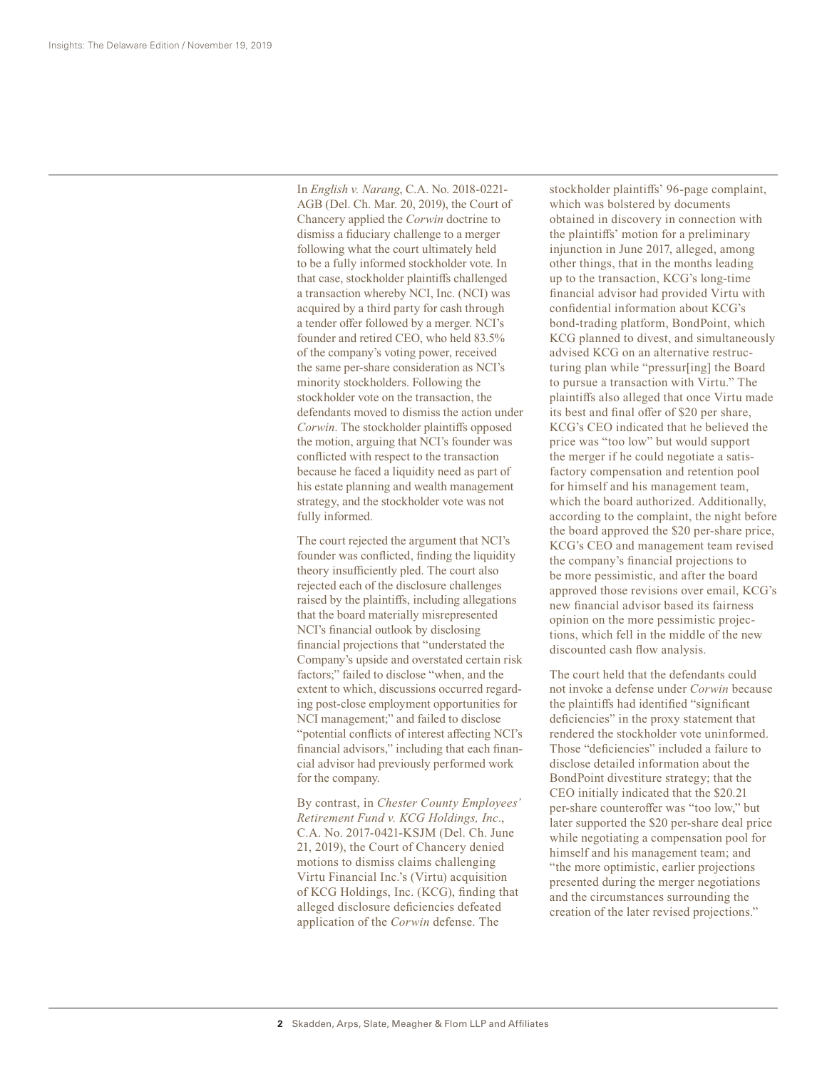In *English v. Narang*, C.A. No. 2018-0221- AGB (Del. Ch. Mar. 20, 2019), the Court of Chancery applied the *Corwin* doctrine to dismiss a fiduciary challenge to a merger following what the court ultimately held to be a fully informed stockholder vote. In that case, stockholder plaintiffs challenged a transaction whereby NCI, Inc. (NCI) was acquired by a third party for cash through a tender offer followed by a merger. NCI's founder and retired CEO, who held 83.5% of the company's voting power, received the same per-share consideration as NCI's minority stockholders. Following the stockholder vote on the transaction, the defendants moved to dismiss the action under *Corwin*. The stockholder plaintiffs opposed the motion, arguing that NCI's founder was conflicted with respect to the transaction because he faced a liquidity need as part of his estate planning and wealth management strategy, and the stockholder vote was not fully informed.

The court rejected the argument that NCI's founder was conflicted, finding the liquidity theory insufficiently pled. The court also rejected each of the disclosure challenges raised by the plaintiffs, including allegations that the board materially misrepresented NCI's financial outlook by disclosing financial projections that "understated the Company's upside and overstated certain risk factors;" failed to disclose "when, and the extent to which, discussions occurred regarding post-close employment opportunities for NCI management;" and failed to disclose "potential conflicts of interest affecting NCI's financial advisors," including that each financial advisor had previously performed work for the company.

By contrast, in *Chester County Employees' Retirement Fund v. KCG Holdings, Inc*., C.A. No. 2017-0421-KSJM (Del. Ch. June 21, 2019), the Court of Chancery denied motions to dismiss claims challenging Virtu Financial Inc.'s (Virtu) acquisition of KCG Holdings, Inc. (KCG), finding that alleged disclosure deficiencies defeated application of the *Corwin* defense. The

stockholder plaintiffs' 96-page complaint, which was bolstered by documents obtained in discovery in connection with the plaintiffs' motion for a preliminary injunction in June 2017, alleged, among other things, that in the months leading up to the transaction, KCG's long-time financial advisor had provided Virtu with confidential information about KCG's bond-trading platform, BondPoint, which KCG planned to divest, and simultaneously advised KCG on an alternative restructuring plan while "pressur[ing] the Board to pursue a transaction with Virtu." The plaintiffs also alleged that once Virtu made its best and final offer of \$20 per share, KCG's CEO indicated that he believed the price was "too low" but would support the merger if he could negotiate a satisfactory compensation and retention pool for himself and his management team, which the board authorized. Additionally, according to the complaint, the night before the board approved the \$20 per-share price, KCG's CEO and management team revised the company's financial projections to be more pessimistic, and after the board approved those revisions over email, KCG's new financial advisor based its fairness opinion on the more pessimistic projections, which fell in the middle of the new discounted cash flow analysis.

The court held that the defendants could not invoke a defense under *Corwin* because the plaintiffs had identified "significant deficiencies" in the proxy statement that rendered the stockholder vote uninformed. Those "deficiencies" included a failure to disclose detailed information about the BondPoint divestiture strategy; that the CEO initially indicated that the \$20.21 per-share counteroffer was "too low," but later supported the \$20 per-share deal price while negotiating a compensation pool for himself and his management team; and "the more optimistic, earlier projections presented during the merger negotiations and the circumstances surrounding the creation of the later revised projections."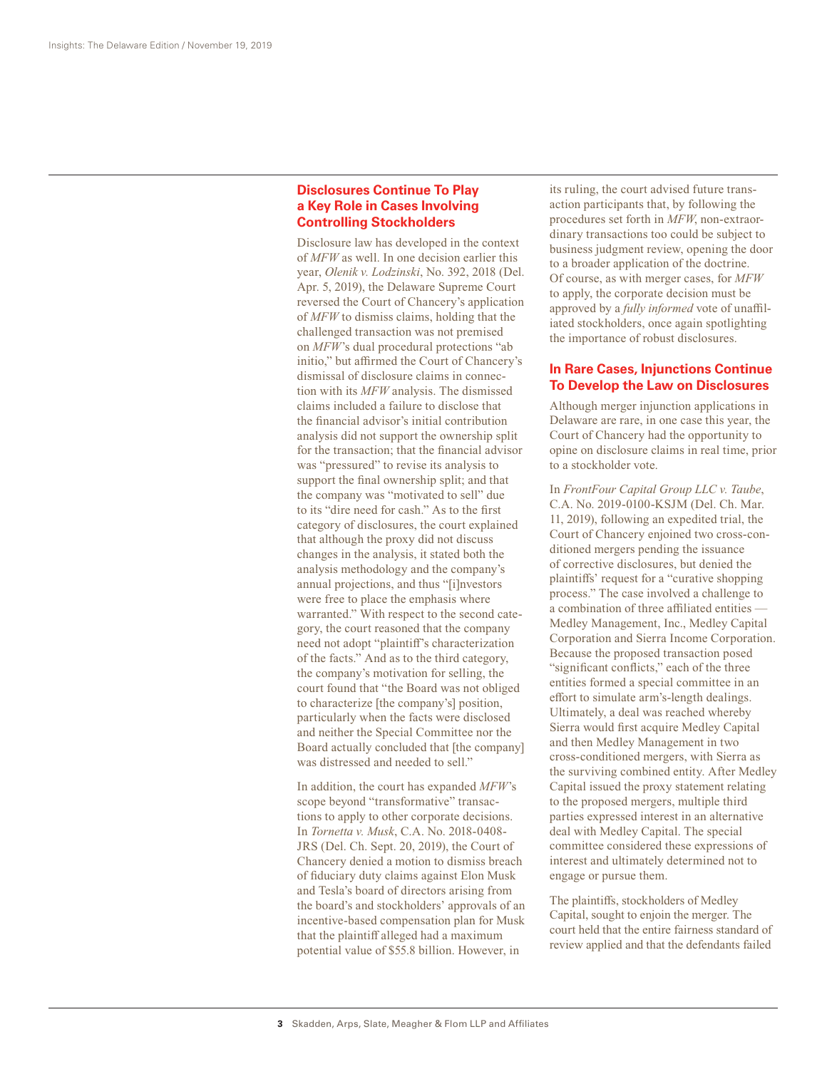#### **Disclosures Continue To Play a Key Role in Cases Involving Controlling Stockholders**

Disclosure law has developed in the context of *MFW* as well. In one decision earlier this year, *Olenik v. Lodzinski*, No. 392, 2018 (Del. Apr. 5, 2019), the Delaware Supreme Court reversed the Court of Chancery's application of *MFW* to dismiss claims, holding that the challenged transaction was not premised on *MFW*'s dual procedural protections "ab initio," but affirmed the Court of Chancery's dismissal of disclosure claims in connection with its *MFW* analysis. The dismissed claims included a failure to disclose that the financial advisor's initial contribution analysis did not support the ownership split for the transaction; that the financial advisor was "pressured" to revise its analysis to support the final ownership split; and that the company was "motivated to sell" due to its "dire need for cash." As to the first category of disclosures, the court explained that although the proxy did not discuss changes in the analysis, it stated both the analysis methodology and the company's annual projections, and thus "[i]nvestors were free to place the emphasis where warranted." With respect to the second category, the court reasoned that the company need not adopt "plaintiff's characterization of the facts." And as to the third category, the company's motivation for selling, the court found that "the Board was not obliged to characterize [the company's] position, particularly when the facts were disclosed and neither the Special Committee nor the Board actually concluded that [the company] was distressed and needed to sell."

In addition, the court has expanded *MFW*'s scope beyond "transformative" transactions to apply to other corporate decisions. In *Tornetta v. Musk*, C.A. No. 2018-0408- JRS (Del. Ch. Sept. 20, 2019), the Court of Chancery denied a motion to dismiss breach of fiduciary duty claims against Elon Musk and Tesla's board of directors arising from the board's and stockholders' approvals of an incentive-based compensation plan for Musk that the plaintiff alleged had a maximum potential value of \$55.8 billion. However, in

its ruling, the court advised future transaction participants that, by following the procedures set forth in *MFW*, non-extraordinary transactions too could be subject to business judgment review, opening the door to a broader application of the doctrine. Of course, as with merger cases, for *MFW* to apply, the corporate decision must be approved by a *fully informed* vote of unaffiliated stockholders, once again spotlighting the importance of robust disclosures.

#### **In Rare Cases, Injunctions Continue To Develop the Law on Disclosures**

Although merger injunction applications in Delaware are rare, in one case this year, the Court of Chancery had the opportunity to opine on disclosure claims in real time, prior to a stockholder vote.

In *FrontFour Capital Group LLC v. Taube*, C.A. No. 2019-0100-KSJM (Del. Ch. Mar. 11, 2019), following an expedited trial, the Court of Chancery enjoined two cross-conditioned mergers pending the issuance of corrective disclosures, but denied the plaintiffs' request for a "curative shopping process." The case involved a challenge to a combination of three affiliated entities — Medley Management, Inc., Medley Capital Corporation and Sierra Income Corporation. Because the proposed transaction posed "significant conflicts," each of the three entities formed a special committee in an effort to simulate arm's-length dealings. Ultimately, a deal was reached whereby Sierra would first acquire Medley Capital and then Medley Management in two cross-conditioned mergers, with Sierra as the surviving combined entity. After Medley Capital issued the proxy statement relating to the proposed mergers, multiple third parties expressed interest in an alternative deal with Medley Capital. The special committee considered these expressions of interest and ultimately determined not to engage or pursue them.

The plaintiffs, stockholders of Medley Capital, sought to enjoin the merger. The court held that the entire fairness standard of review applied and that the defendants failed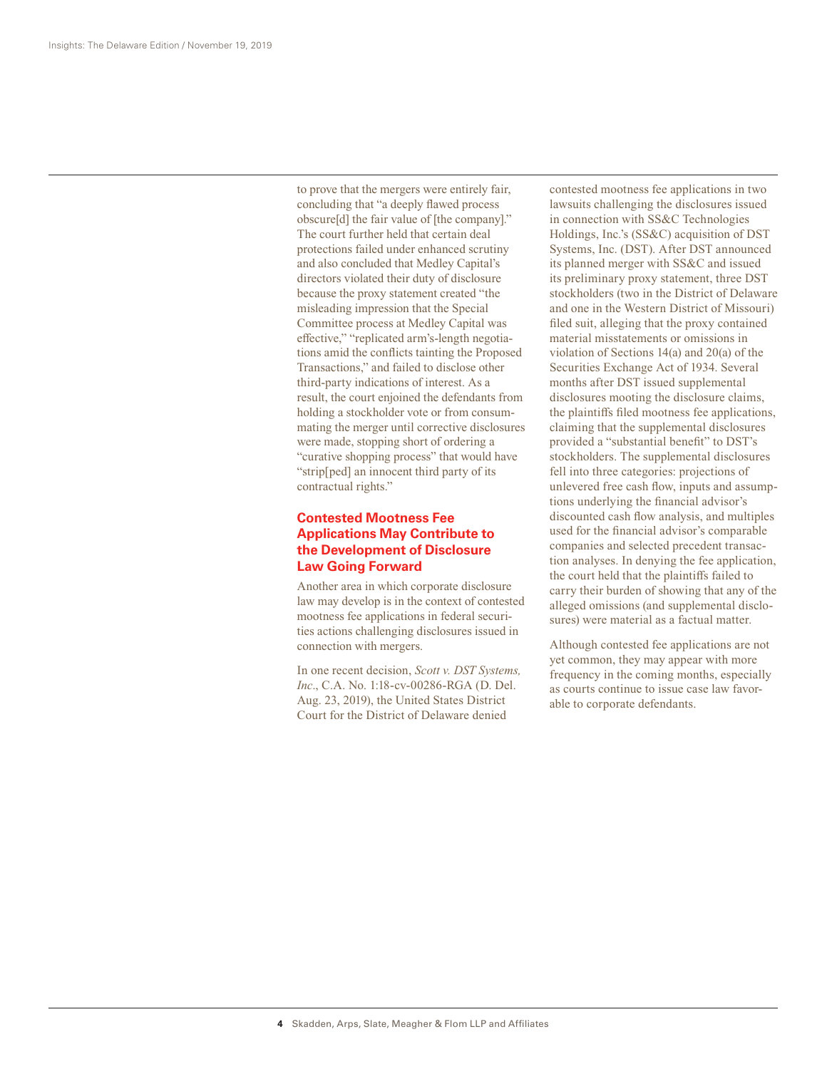to prove that the mergers were entirely fair, concluding that "a deeply flawed process obscure[d] the fair value of [the company]." The court further held that certain deal protections failed under enhanced scrutiny and also concluded that Medley Capital's directors violated their duty of disclosure because the proxy statement created "the misleading impression that the Special Committee process at Medley Capital was effective," "replicated arm's-length negotiations amid the conflicts tainting the Proposed Transactions," and failed to disclose other third-party indications of interest. As a result, the court enjoined the defendants from holding a stockholder vote or from consummating the merger until corrective disclosures were made, stopping short of ordering a "curative shopping process" that would have "strip[ped] an innocent third party of its contractual rights."

### **Contested Mootness Fee Applications May Contribute to the Development of Disclosure Law Going Forward**

Another area in which corporate disclosure law may develop is in the context of contested mootness fee applications in federal securities actions challenging disclosures issued in connection with mergers.

In one recent decision, *Scott v. DST Systems, Inc*., C.A. No. 1:18-cv-00286-RGA (D. Del. Aug. 23, 2019), the United States District Court for the District of Delaware denied

contested mootness fee applications in two lawsuits challenging the disclosures issued in connection with SS&C Technologies Holdings, Inc.'s (SS&C) acquisition of DST Systems, Inc. (DST). After DST announced its planned merger with SS&C and issued its preliminary proxy statement, three DST stockholders (two in the District of Delaware and one in the Western District of Missouri) filed suit, alleging that the proxy contained material misstatements or omissions in violation of Sections 14(a) and 20(a) of the Securities Exchange Act of 1934. Several months after DST issued supplemental disclosures mooting the disclosure claims, the plaintiffs filed mootness fee applications, claiming that the supplemental disclosures provided a "substantial benefit" to DST's stockholders. The supplemental disclosures fell into three categories: projections of unlevered free cash flow, inputs and assumptions underlying the financial advisor's discounted cash flow analysis, and multiples used for the financial advisor's comparable companies and selected precedent transaction analyses. In denying the fee application, the court held that the plaintiffs failed to carry their burden of showing that any of the alleged omissions (and supplemental disclosures) were material as a factual matter.

Although contested fee applications are not yet common, they may appear with more frequency in the coming months, especially as courts continue to issue case law favorable to corporate defendants.